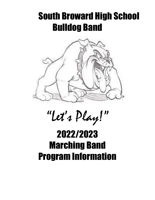## South Broward High School Bulldog Band



# "Let's Play!"

## 2022/2023 Marching Band Program Information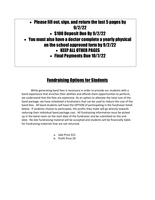## • Please fill out, sign, and return the last 5 pages by 9/2/22 • \$100 Deposit Due By 9/2/22 • You must also have a doctor complete a yearly physical on the school approved form by 9/2/22 • KEEP ALL OTHER PAGES • Final Payments Due 10/7/22

## Fundraising Options for Students

While generating band fees is necessary in order to provide our students with a band experience that enriches their abilities and affords them opportunities to perform, we understand that the fees are expensive. As an option to alleviate the total cost of the band package, we have scheduled a fundraisers that can be used to reduce the cost of the band fees. All band students will have the OPTION of participating in the fundraiser listed below. If students choose to participate, the profits they make will go directly towards reducing their individual band package cost. All fundraising information must be picked up in the band room on the start date of the fundraiser and be submitted on the end date. No late fundraising material will be accepted and students will be financially liable for fundraising materials that are not returned.

a. Sale Price \$23

b. Profit Price \$9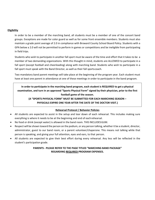#### **Eligibility**

In order to be a member of the marching band, all students must be a member of one of the concert band groups. Exceptions are made for color guard as well as for some front ensemble members. Students must also maintain a grade point average of 2.0 in compliance with Broward County School Board Policy. Students with a GPA below a 2.0 will not be permitted to perform in games or competitions and be ineligible from participating in field trips.

Students who wish to participate in another fall sport must be aware of the time and effort that it takes to be a member of two demanding organizations. With this thought in mind, students are ALLOWED to participate in a fall sport (except football and cheerleading) along with marching band. Students who wish to participate in a fall sport must speak with the Band Director, as well as their fall sportscoach.

Two mandatory band parent meetings will take place at the beginning of the program year. Each student must have at least one parent in attendance at one of these meetings in order to participate in the band program.

**In order to participate in the marching band program, each student is REQUIRED to get a physical examination, and turn in an approved "Sports Physical Form" signed by their physician, prior to the first football game of the season.**

#### **(A "SPORTS PHYSICAL FORM" MUST BE SUBMITTED FOR EACH MARCHING SEASON – PHYSICALS EXPIRE ONE YEAR AFTER THE DATE OF THE DOCTOR VISIT.)**

#### **Rehearsal Protocol / Behavior Policies**

- All students are expected to assist in the setup and tear down of each rehearsal. This includes making sure everything is where it needs to be at the beginning and end of eachrehearsal.
- No food or drink (except water) is allowed in the band room. THIS INCLUDESGUM.
- Respect will be shown toward the person on the podium, or any person talking, whether it be a student, director, administrator, guest to our band room, or a parent volunteer/chaperone. This means not talking while that person is speaking, and giving your full attention, eyes and ears, to that person.
- All students are expected to give their best effort during every rehearsal. Any less will be reflected in the student's participation grade.

#### **PARENTS - PLEASE REFER TO THE PAGE TITLED "MARCHING BAND PACKAGE" REGARDING REQUIRED PROGRAM EXPENSES.**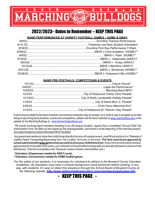#### Ś Ħ Ō Ŵ Ñ U  $\overline{\textbf{B}}$

## 2022/2023– Dates to Remember – KEEP THIS PAGE

#### **BAND PERFORMANCES AT VARSITY FOOTBALL GAMES – HOME & AWAY**

### **BAND PRE-FESTIVALS, COMPETITIONS & EVENTS**

Events may be added to the band schedule, and practice schedules may be revised, so in order to see a complete up-to-date listing of upcoming band practices, events and competitions, please visit the band calendar at www.charmsoffice.com or the website for the Marching Bulldogs at www.themarchingbulldogs.com.

\*All events involving band members traveling to an off-campus location, require that a completed "Annual Field Trip Authorization Form" be filled out and signed by the parent/guardian, and turned in at the beginning of the marching season. Accurate emergency contact information MUST be listed.

Any parent who wishes to drive their child home directly from any off-campus event, must fill out and turn in a "Release of Liability-Parent Transporting/Supervising from Trip Location" form prior to the event. This form must be pre-approved by *school administration priorto the event youwish to drive your child home from. Ifyourformisnotturnedinandpre*approved prior to the date of the event, your child will not be permitted to leave with you and will ride back to school on the *field trip bus.(This form is available in the "Handouts" section of wwwn.charmsoffice.com.)*

*\*Volunteers (Chaperones) needed for AWAY events. \*\*Volunteers (Concessions) needed for HOME football games.*

*For the safety of our students, it is necessary for volunteers to adhere to the Broward County Volunteer Guidelines. All volunteers must have a criminal background check performed before working, in any*  way, with students. It's easy to obtain this clearance through the School Board of Broward County at *the following website: http://www.getinvolvedineducation.com/volunteers/application.htm*

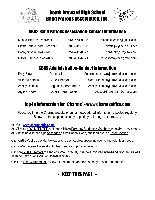



## SBHS Band Patrons Association-Contact Information

| Manuel Benitez, President      | 954-654-9138 | manueldbenitez@gmail.com |
|--------------------------------|--------------|--------------------------|
| Crystal Pinard, Vice President | 305-345-7836 | crystalpic@bellsouth.net |
| Penny Snyder, Treasurer        | 754-245-0527 | gonecrazy102@aol.com     |
| Mayra Reinoso, Secretary       | 786-436-6521 | Reinosomay88@gmail.com   |

## SBHS Administration-Contact Information

| Patty Brown        | Principal                    | Patricia.ann.brown@browardschools.com  |
|--------------------|------------------------------|----------------------------------------|
| Victor Villaorduna | <b>Band Director</b>         | Victor. Villaorduna@browardschools.com |
| Ashley Lehman      | <b>Logistics Coordinator</b> | Ashley.Lehman@browardschools.com       |
| Alyssa Pinard      | <b>Color Guard Coach</b>     | AlyssaPinard1027@gmail.com             |

## Log-In Information for "Charms" - www.charmsoffice.com

Please log in to the Charms website often, as new/updated information is posted regularly. Below are the steps necessary to guide you through this process.

- **1)** Visit **www.charmsoffice.com**
- 2) Click on LOGIN / ENTER and then click on Parents / Students / Members in the drop down menu.
- 3) On the next screen type sbhsband as the School Code, and then click on Enter Charms.

Click on the Public Calendar to view practice schedules, upcoming events and volunteer needs.

Click on Volunteers to see all volunteer needs for upcoming events.

Click on **E-Mail Directors to send an e-mail to faculty members involved in the band program, as well** asBandPatronsAssociationBoardMembers.

Click on Files & Handouts to view all documents and forms that you can print and use.

## - KEEP THIS PAGE -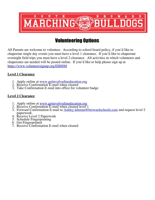

## Volunteering Options

All Parents are welcome to volunteer. According to school board policy, if you'd like to chaperone single day events you must have a level 1 clearance. If you'd like to chaperone overnight field trips you must have a level 2 clearance. All activities in which volunteers and chaperones are needed will be posted online. If you'd like to help please sign up at https://www.volunteersignup.org/EH88M

### **Level 1 Clearance**

- 1. Apply online at www.getinvolvedineducation.org
- 2. Receive Confirmation E-mail when cleared
- 3. Take Confirmation E-mail into office for volunteer badge

## **Level 2 Clearance**

- 1. Apply online at www.getinvolvedineducation.org
- 2. Receive Confirmation E-mail when cleared level 1
- 3. Forward Confirmation E-mail to Ashley.lehman@browardschools.com and request level 2 paperwork.
- 4. Receive Level 2 Paperwork 5. Schedule Fingerprinting
- 
- 6. Get Fingerprinted
- 7. Receive Confirmation E-mail when cleared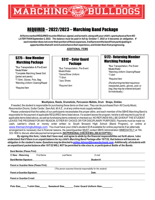

## REQUIRED – 2022/2023 – Marching Band Package

*AllformsmarkedREQUIREDmustbefilledout,signed,andturnedin,alongwithyourchild's sportsphysicalformNO LATERTHANSeptember2,2022. The balance must be paid in full by October 7, 2022 or it becomes an obligation. If eachmemberdoesnotcovertheirportionoftheseexpenses,itwillpreventthebandfromparticipatingin opportunitiesthatwill enrichandenhancetheirexperience,andhinderthemfromprogressing.*

**ADDITIONAL ITEMS**

## \$275 – New Member Marching Package

\*Bus Transportation & Pre-Event Meals/Water

\*Complete Marching Sweat Suit (jacket and pants)

\*T-Shirt, Gloves, Polo, Bag

\*Marching Uniform Cleaning/Repair

\*Required Item

## Marching Package \$312 – Color Guard **Package**

\*Bus Transportation, Pre-Event Meals/Water \*Game/Show Uniform \*T-Shirt \*Jazz Shoes *\*Required Item*

\$172– Returning Member

\*Bus Transportation, Pre-Event Meals/Water \*Marching Uniform Cleaning/Repair \*T-shirt

\*Required Item

(Ifareturningmemberrequiresa newjacket, pants, gloves, polo or bag, they may be ordered and paid for individually.)

#### **Mouthpiece, Reeds, Drumsticks, Percussion Mallets, Drum Straps, Dinkles**

If needed, the student is responsible for purchasing these items on their own. They can be purchased from All County Music, *Resurrection Drums,Guitar Center,Sam Ash, M.A.E., or at any online music supply website.*

Please understand that the safety of our participants necessitates the proper attire, and each member of the SBHS Marching Band is responsible for the payment of applicable REQUIRED items listed above. If a student leaves the program, he/she is still required to pay for all applicable items listed above, as well as fundraising items ordered or checked out. NO REFUNDS WILLBE GIVEN IF THESTUDENT LEAVES THE PROGRAM FOR ANY REASON, EITHER BY CHOICE OR FOR DISCIPLINARY PURPOSES. Payments must be made via cash, cashier's check or money order written to South Broward High School (Band Program), or online at www.themarchingbulldogs.com You must have your child's student ID # available for online payments If an alternate arrangement is necessary due to financial reasons, the parent/guardian MUST contact SBHS Administration IMMEDIATELY at 754- 323-1800 to discuss alternatepaymentarrangements.**(NOPERSONALCHECKSWILLBEACCEPTED.)** 

By signing this form, I state that I have read, and agree to abide by the financial responsibilities set forth above. I also understand that if there is an unpaid balance for my child's Marching Band Package after 10/7/22, that balance will become an *obligation in the student's name.Questions may be directed to ashley.lehman@browardschools.com. Additionally, all students with* an unpaid band packet balance after 10/7/22 WILL NOT be permitted to ride a bus to, or participate at Battle of the Bands.

| <b>Band Member (Please Print):</b>                             |                                                |                       |                                  |  |  |  |
|----------------------------------------------------------------|------------------------------------------------|-----------------------|----------------------------------|--|--|--|
| $\square$ New $\square$ Returning                              | <b>First Name</b>                              | Last Name             | E-mail                           |  |  |  |
| <b>Band Member Signature:</b>                                  |                                                |                       | Student #:                       |  |  |  |
|                                                                | <b>Parent or Guardian Name (Please Print):</b> |                       |                                  |  |  |  |
| (This person assumes financial responsibility for the student) |                                                |                       |                                  |  |  |  |
| <b>Parent or Guardian Signature:</b>                           |                                                |                       | Date:                            |  |  |  |
| <b>Parent or Guardian E-mail:</b>                              |                                                |                       |                                  |  |  |  |
|                                                                |                                                |                       |                                  |  |  |  |
| Polo Size                                                      | <b>T-shirt Size</b>                            | <b>Sweatsuit Size</b> | <b>Color Guard Uniform Size-</b> |  |  |  |